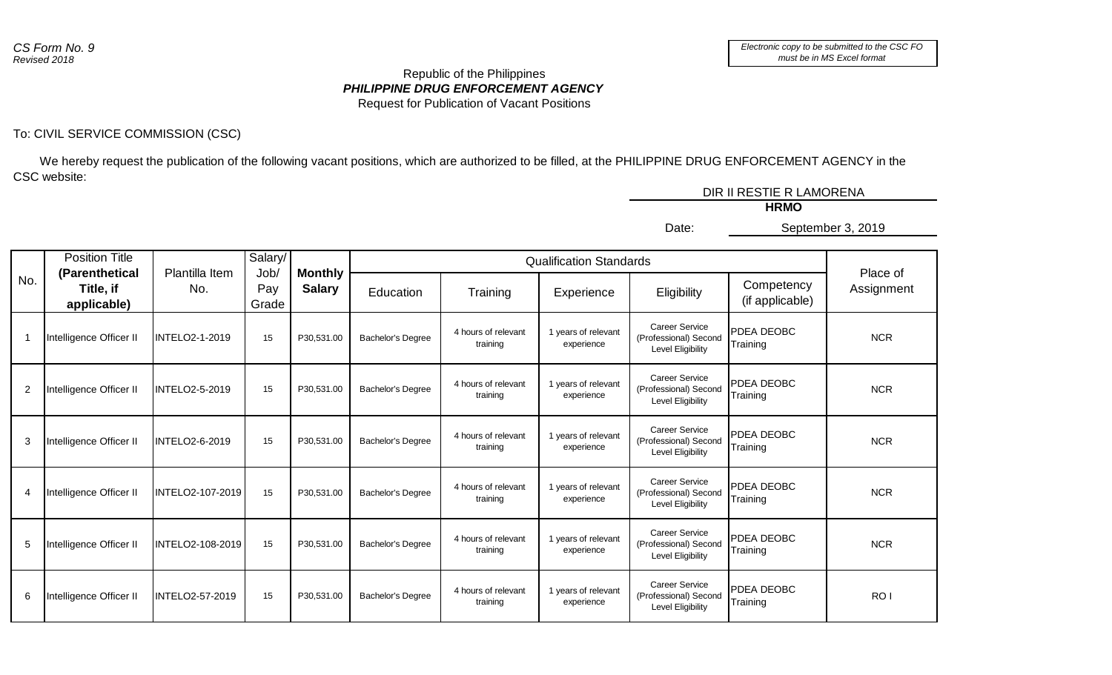## *PHILIPPINE DRUG ENFORCEMENT AGENCY* Republic of the Philippines Request for Publication of Vacant Positions

## To: CIVIL SERVICE COMMISSION (CSC)

5 Intelligence Officer II | INTELO2-108-2019 | 15 | P30,531.00 | Bachelor's Degree | 4 hours of relevant

6 Intelligence Officer II | INTELO2-57-2019 | 15 | P30,531.00 | Bachelor's Degree | 4 hours of relevant

 We hereby request the publication of the following vacant positions, which are authorized to be filled, at the PHILIPPINE DRUG ENFORCEMENT AGENCY in the CSC website:

|     |                                            |                       |                      |                                 |                          |                                 |                                   |                                                                     | DIR II RESTIE R LAMORENA      |                        |
|-----|--------------------------------------------|-----------------------|----------------------|---------------------------------|--------------------------|---------------------------------|-----------------------------------|---------------------------------------------------------------------|-------------------------------|------------------------|
|     |                                            |                       |                      |                                 |                          |                                 |                                   |                                                                     | <b>HRMO</b>                   |                        |
|     |                                            |                       |                      |                                 |                          |                                 |                                   | Date:                                                               |                               | September 3, 2019      |
|     | <b>Position Title</b>                      |                       | Salary/              |                                 |                          |                                 | <b>Qualification Standards</b>    |                                                                     |                               |                        |
| No. | (Parenthetical<br>Title, if<br>applicable) | Plantilla Item<br>No. | Job/<br>Pay<br>Grade | <b>Monthly</b><br><b>Salary</b> | Education                | Training                        | Experience                        | Eligibility                                                         | Competency<br>(if applicable) | Place of<br>Assignment |
|     | Intelligence Officer II                    | <b>INTELO2-1-2019</b> | 15                   | P30,531.00                      | <b>Bachelor's Degree</b> | 4 hours of relevant<br>training | 1 years of relevant<br>experience | <b>Career Service</b><br>(Professional) Second<br>Level Eligibility | PDEA DEOBC<br>Training        | <b>NCR</b>             |
| 2   | Intelligence Officer II                    | <b>INTELO2-5-2019</b> | 15                   | P30,531.00                      | Bachelor's Degree        | 4 hours of relevant<br>training | 1 years of relevant<br>experience | <b>Career Service</b><br>(Professional) Second<br>Level Eligibility | <b>PDEA DEOBC</b><br>Training | <b>NCR</b>             |
| 3   | Intelligence Officer II                    | INTELO2-6-2019        | 15                   | P30,531.00                      | <b>Bachelor's Degree</b> | 4 hours of relevant<br>training | 1 years of relevant<br>experience | <b>Career Service</b><br>(Professional) Second<br>Level Eligibility | PDEA DEOBC<br>Training        | <b>NCR</b>             |
| 4   | Intelligence Officer II                    | INTELO2-107-2019      | 15                   | P30,531.00                      | <b>Bachelor's Degree</b> | 4 hours of relevant<br>training | 1 years of relevant<br>experience | <b>Career Service</b><br>(Professional) Second<br>Level Eligibility | <b>PDEA DEOBC</b><br>Training | <b>NCR</b>             |
|     |                                            |                       |                      |                                 |                          |                                 |                                   |                                                                     |                               |                        |

training

training

1 years of relevant experience

1 years of relevant experience

Career Service (Professional) Second Level Eligibility

Career Service (Professional) Second Level Eligibility

PDEA DEOBC

PDEA DEOBC

PDEA DEOBC<br>Training PDR NCR

The RO I RO I RO I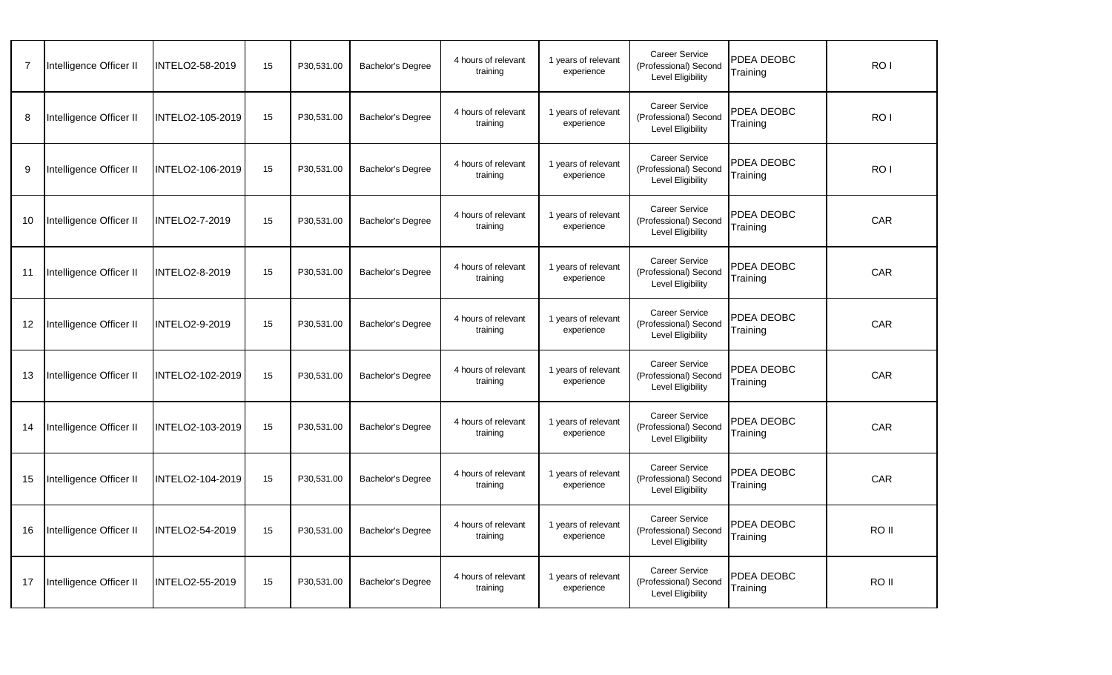|    | Intelligence Officer II | INTELO2-58-2019         | 15 | P30,531.00 | <b>Bachelor's Degree</b> | 4 hours of relevant<br>training | 1 years of relevant<br>experience | <b>Career Service</b><br>(Professional) Second<br>Level Eligibility        | PDEA DEOBC<br>Training | RO I            |  |
|----|-------------------------|-------------------------|----|------------|--------------------------|---------------------------------|-----------------------------------|----------------------------------------------------------------------------|------------------------|-----------------|--|
| 8  | Intelligence Officer II | <b>INTELO2-105-2019</b> | 15 | P30,531.00 | Bachelor's Degree        | 4 hours of relevant<br>training | 1 years of relevant<br>experience | Career Service<br>(Professional) Second<br><b>Level Eligibility</b>        | PDEA DEOBC<br>Training | RO <sub>1</sub> |  |
| 9  | Intelligence Officer II | INTELO2-106-2019        | 15 | P30,531.00 | <b>Bachelor's Degree</b> | 4 hours of relevant<br>training | 1 years of relevant<br>experience | <b>Career Service</b><br>(Professional) Second<br>Level Eligibility        | PDEA DEOBC<br>Training | RO <sub>1</sub> |  |
| 10 | Intelligence Officer II | <b>INTELO2-7-2019</b>   | 15 | P30.531.00 | Bachelor's Degree        | 4 hours of relevant<br>training | 1 years of relevant<br>experience | <b>Career Service</b><br>(Professional) Second<br>Level Eligibility        | PDEA DEOBC<br>Training | CAR             |  |
| 11 | Intelligence Officer II | <b>INTELO2-8-2019</b>   | 15 | P30,531.00 | <b>Bachelor's Degree</b> | 4 hours of relevant<br>training | 1 years of relevant<br>experience | <b>Career Service</b><br>(Professional) Second<br><b>Level Eligibility</b> | PDEA DEOBC<br>Training | <b>CAR</b>      |  |
| 12 | Intelligence Officer II | <b>INTELO2-9-2019</b>   | 15 | P30,531.00 | <b>Bachelor's Degree</b> | 4 hours of relevant<br>training | 1 years of relevant<br>experience | <b>Career Service</b><br>(Professional) Second<br>Level Eligibility        | PDEA DEOBC<br>Training | CAR             |  |
| 13 | Intelligence Officer II | INTELO2-102-2019        | 15 | P30,531.00 | Bachelor's Degree        | 4 hours of relevant<br>training | 1 years of relevant<br>experience | <b>Career Service</b><br>(Professional) Second<br>Level Eligibility        | PDEA DEOBC<br>Training | CAR             |  |
| 14 | Intelligence Officer II | INTELO2-103-2019        | 15 | P30,531.00 | Bachelor's Degree        | 4 hours of relevant<br>training | 1 years of relevant<br>experience | <b>Career Service</b><br>(Professional) Second<br>Level Eligibility        | PDEA DEOBC<br>Training | CAR             |  |
| 15 | Intelligence Officer II | INTELO2-104-2019        | 15 | P30,531.00 | <b>Bachelor's Degree</b> | 4 hours of relevant<br>training | 1 years of relevant<br>experience | Career Service<br>(Professional) Second<br>Level Eligibility               | PDEA DEOBC<br>Training | <b>CAR</b>      |  |
| 16 | Intelligence Officer II | INTELO2-54-2019         | 15 | P30,531.00 | Bachelor's Degree        | 4 hours of relevant<br>training | 1 years of relevant<br>experience | <b>Career Service</b><br>(Professional) Second<br><b>Level Eligibility</b> | PDEA DEOBC<br>Training | RO II           |  |
| 17 | Intelligence Officer II | INTELO2-55-2019         | 15 | P30,531.00 | Bachelor's Degree        | 4 hours of relevant<br>training | 1 years of relevant<br>experience | <b>Career Service</b><br>(Professional) Second<br>Level Eligibility        | PDEA DEOBC<br>Training | RO II           |  |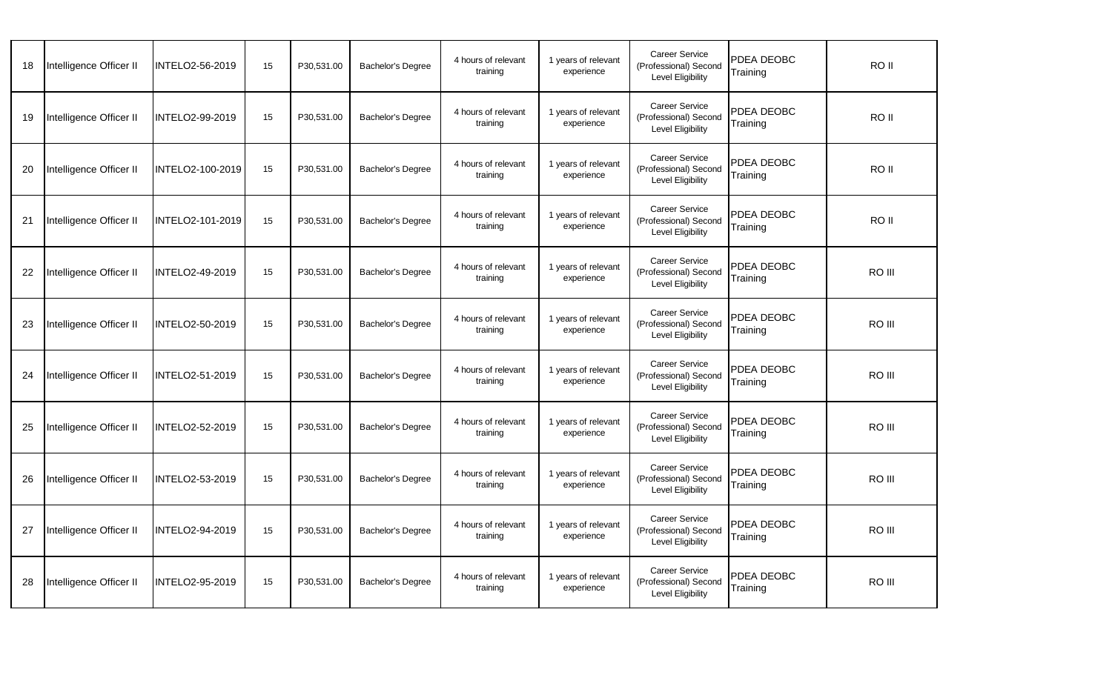| 18 | Intelligence Officer II | INTELO2-56-2019        | 15 | P30,531.00 | <b>Bachelor's Degree</b> | 4 hours of relevant<br>training | 1 years of relevant<br>experience | <b>Career Service</b><br>(Professional) Second<br>Level Eligibility | PDEA DEOBC<br>Training | RO II  |  |
|----|-------------------------|------------------------|----|------------|--------------------------|---------------------------------|-----------------------------------|---------------------------------------------------------------------|------------------------|--------|--|
| 19 | Intelligence Officer II | INTELO2-99-2019        | 15 | P30,531.00 | Bachelor's Degree        | 4 hours of relevant<br>training | 1 years of relevant<br>experience | <b>Career Service</b><br>(Professional) Second<br>Level Eligibility | PDEA DEOBC<br>Training | RO II  |  |
| 20 | Intelligence Officer II | INTELO2-100-2019       | 15 | P30,531.00 | <b>Bachelor's Degree</b> | 4 hours of relevant<br>training | 1 years of relevant<br>experience | <b>Career Service</b><br>(Professional) Second<br>Level Eligibility | PDEA DEOBC<br>Training | RO II  |  |
| 21 | Intelligence Officer II | INTELO2-101-2019       | 15 | P30,531.00 | <b>Bachelor's Degree</b> | 4 hours of relevant<br>training | 1 years of relevant<br>experience | <b>Career Service</b><br>(Professional) Second<br>Level Eligibility | PDEA DEOBC<br>Training | RO II  |  |
| 22 | Intelligence Officer II | INTELO2-49-2019        | 15 | P30,531.00 | Bachelor's Degree        | 4 hours of relevant<br>training | 1 years of relevant<br>experience | <b>Career Service</b><br>(Professional) Second<br>Level Eligibility | PDEA DEOBC<br>Training | RO III |  |
| 23 | Intelligence Officer II | INTELO2-50-2019        | 15 | P30,531.00 | <b>Bachelor's Degree</b> | 4 hours of relevant<br>training | 1 years of relevant<br>experience | <b>Career Service</b><br>(Professional) Second<br>Level Eligibility | PDEA DEOBC<br>Training | RO III |  |
| 24 | Intelligence Officer II | INTELO2-51-2019        | 15 | P30,531.00 | <b>Bachelor's Degree</b> | 4 hours of relevant<br>training | 1 years of relevant<br>experience | <b>Career Service</b><br>(Professional) Second<br>Level Eligibility | PDEA DEOBC<br>Training | RO III |  |
| 25 | Intelligence Officer II | <b>INTELO2-52-2019</b> | 15 | P30,531.00 | <b>Bachelor's Degree</b> | 4 hours of relevant<br>training | 1 years of relevant<br>experience | <b>Career Service</b><br>(Professional) Second<br>Level Eligibility | PDEA DEOBC<br>Training | RO III |  |
| 26 | Intelligence Officer II | INTELO2-53-2019        | 15 | P30,531.00 | Bachelor's Degree        | 4 hours of relevant<br>training | 1 years of relevant<br>experience | <b>Career Service</b><br>(Professional) Second<br>Level Eligibility | PDEA DEOBC<br>Training | RO III |  |
| 27 | Intelligence Officer II | INTELO2-94-2019        | 15 | P30,531.00 | <b>Bachelor's Degree</b> | 4 hours of relevant<br>training | 1 years of relevant<br>experience | <b>Career Service</b><br>(Professional) Second<br>Level Eligibility | PDEA DEOBC<br>Training | RO III |  |
| 28 | Intelligence Officer II | INTELO2-95-2019        | 15 | P30,531.00 | Bachelor's Degree        | 4 hours of relevant<br>training | 1 years of relevant<br>experience | <b>Career Service</b><br>(Professional) Second<br>Level Eligibility | PDEA DEOBC<br>Training | RO III |  |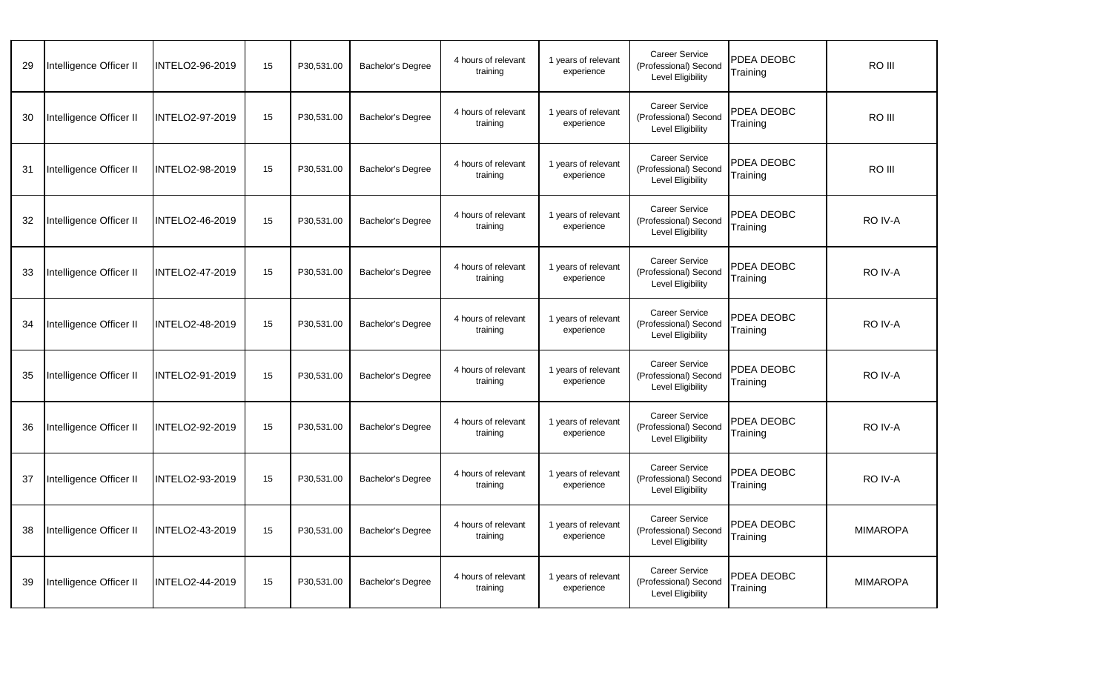| 29 | Intelligence Officer II | INTELO2-96-2019        | 15 | P30,531.00 | Bachelor's Degree        | 4 hours of relevant<br>training | 1 years of relevant<br>experience | <b>Career Service</b><br>(Professional) Second<br>Level Eligibility        | PDEA DEOBC<br>Training | RO III          |
|----|-------------------------|------------------------|----|------------|--------------------------|---------------------------------|-----------------------------------|----------------------------------------------------------------------------|------------------------|-----------------|
| 30 | Intelligence Officer II | INTELO2-97-2019        | 15 | P30,531.00 | <b>Bachelor's Degree</b> | 4 hours of relevant<br>training | 1 years of relevant<br>experience | <b>Career Service</b><br>(Professional) Second<br>Level Eligibility        | PDEA DEOBC<br>Training | RO III          |
| 31 | Intelligence Officer II | INTELO2-98-2019        | 15 | P30,531.00 | Bachelor's Degree        | 4 hours of relevant<br>training | 1 years of relevant<br>experience | <b>Career Service</b><br>(Professional) Second<br>Level Eligibility        | PDEA DEOBC<br>Fraining | RO III          |
| 32 | Intelligence Officer II | <b>INTELO2-46-2019</b> | 15 | P30,531.00 | <b>Bachelor's Degree</b> | 4 hours of relevant<br>training | 1 years of relevant<br>experience | <b>Career Service</b><br>(Professional) Second<br>Level Eligibility        | PDEA DEOBC<br>Training | RO IV-A         |
| 33 | Intelligence Officer II | INTELO2-47-2019        | 15 | P30,531.00 | Bachelor's Degree        | 4 hours of relevant<br>training | 1 years of relevant<br>experience | <b>Career Service</b><br>(Professional) Second<br><b>Level Eligibility</b> | PDEA DEOBC<br>Training | RO IV-A         |
| 34 | Intelligence Officer II | INTELO2-48-2019        | 15 | P30,531.00 | <b>Bachelor's Degree</b> | 4 hours of relevant<br>training | 1 years of relevant<br>experience | <b>Career Service</b><br>(Professional) Second<br>Level Eligibility        | PDEA DEOBC<br>Training | RO IV-A         |
| 35 | Intelligence Officer II | INTELO2-91-2019        | 15 | P30.531.00 | Bachelor's Degree        | 4 hours of relevant<br>training | 1 years of relevant<br>experience | <b>Career Service</b><br>(Professional) Second<br>Level Eligibility        | PDEA DEOBC<br>Training | RO IV-A         |
| 36 | Intelligence Officer II | INTELO2-92-2019        | 15 | P30,531.00 | Bachelor's Degree        | 4 hours of relevant<br>training | 1 years of relevant<br>experience | <b>Career Service</b><br>(Professional) Second<br>Level Eligibility        | PDEA DEOBC<br>Training | RO IV-A         |
| 37 | Intelligence Officer II | INTELO2-93-2019        | 15 | P30,531.00 | Bachelor's Degree        | 4 hours of relevant<br>training | 1 years of relevant<br>experience | Career Service<br>(Professional) Second<br>Level Eligibility               | PDEA DEOBC<br>Training | RO IV-A         |
| 38 | Intelligence Officer II | INTELO2-43-2019        | 15 | P30,531.00 | Bachelor's Degree        | 4 hours of relevant<br>training | 1 years of relevant<br>experience | <b>Career Service</b><br>(Professional) Second<br>Level Eligibility        | PDEA DEOBC<br>Training | <b>MIMAROPA</b> |
| 39 | Intelligence Officer II | INTELO2-44-2019        | 15 | P30,531.00 | Bachelor's Degree        | 4 hours of relevant<br>training | 1 years of relevant<br>experience | <b>Career Service</b><br>(Professional) Second<br>Level Eligibility        | PDEA DEOBC<br>Training | <b>MIMAROPA</b> |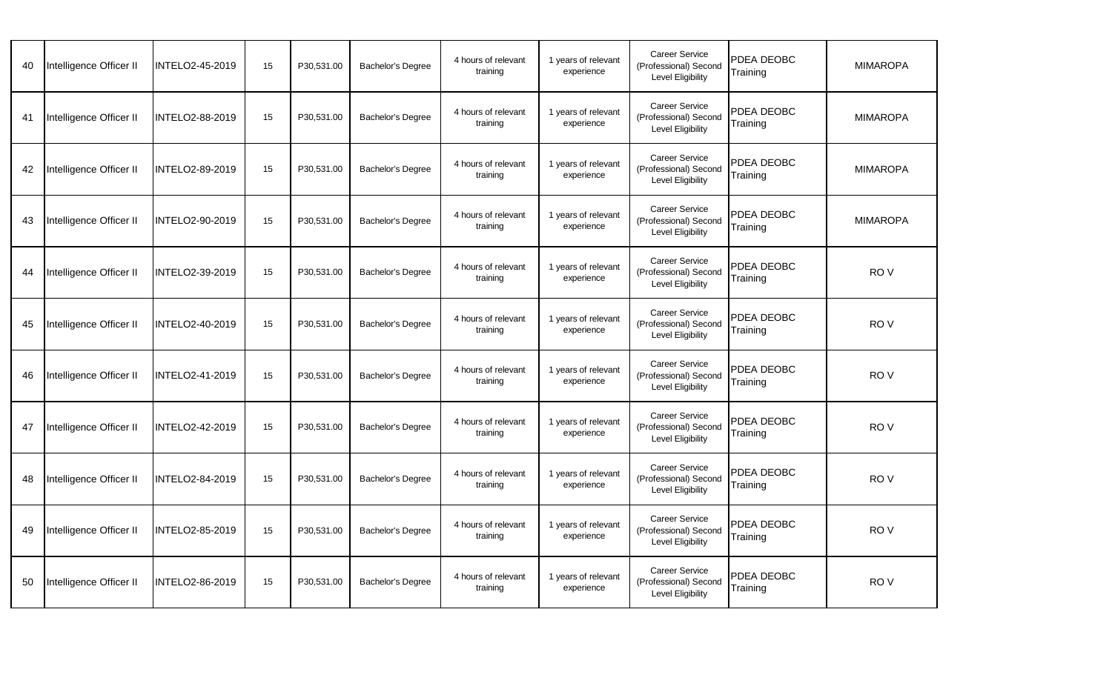| 40 | Intelligence Officer II | INTELO2-45-2019 | 15 | P30,531.00 | <b>Bachelor's Degree</b> | 4 hours of relevant<br>training | 1 years of relevant<br>experience | <b>Career Service</b><br>(Professional) Second<br>Level Eligibility | PDEA DEOBC<br>Training | <b>MIMAROPA</b> |
|----|-------------------------|-----------------|----|------------|--------------------------|---------------------------------|-----------------------------------|---------------------------------------------------------------------|------------------------|-----------------|
| 41 | Intelligence Officer II | INTELO2-88-2019 | 15 | P30,531.00 | <b>Bachelor's Degree</b> | 4 hours of relevant<br>training | 1 years of relevant<br>experience | <b>Career Service</b><br>(Professional) Second<br>Level Eligibility | PDEA DEOBC<br>Training | <b>MIMAROPA</b> |
| 42 | Intelligence Officer II | INTELO2-89-2019 | 15 | P30,531.00 | Bachelor's Degree        | 4 hours of relevant<br>training | 1 years of relevant<br>experience | <b>Career Service</b><br>(Professional) Second<br>Level Eligibility | PDEA DEOBC<br>Training | <b>MIMAROPA</b> |
| 43 | Intelligence Officer II | INTELO2-90-2019 | 15 | P30,531.00 | <b>Bachelor's Degree</b> | 4 hours of relevant<br>training | 1 years of relevant<br>experience | <b>Career Service</b><br>(Professional) Second<br>Level Eligibility | PDEA DEOBC<br>Training | <b>MIMAROPA</b> |
| 44 | Intelligence Officer II | INTELO2-39-2019 | 15 | P30,531.00 | <b>Bachelor's Degree</b> | 4 hours of relevant<br>training | 1 years of relevant<br>experience | <b>Career Service</b><br>(Professional) Second<br>Level Eligibility | PDEA DEOBC<br>Training | RO <sub>V</sub> |
| 45 | Intelligence Officer II | INTELO2-40-2019 | 15 | P30.531.00 | Bachelor's Degree        | 4 hours of relevant<br>training | 1 years of relevant<br>experience | <b>Career Service</b><br>(Professional) Second<br>Level Eligibility | PDEA DEOBC<br>Training | RO V            |
| 46 | Intelligence Officer II | INTELO2-41-2019 | 15 | P30,531.00 | Bachelor's Degree        | 4 hours of relevant<br>training | 1 years of relevant<br>experience | <b>Career Service</b><br>(Professional) Second<br>Level Eligibility | PDEA DEOBC<br>Training | RO <sub>V</sub> |
| 47 | Intelligence Officer II | INTELO2-42-2019 | 15 | P30,531.00 | <b>Bachelor's Degree</b> | 4 hours of relevant<br>training | 1 years of relevant<br>experience | <b>Career Service</b><br>(Professional) Second<br>Level Eligibility | PDEA DEOBC<br>Training | RO <sub>V</sub> |
| 48 | Intelligence Officer II | INTELO2-84-2019 | 15 | P30,531.00 | Bachelor's Degree        | 4 hours of relevant<br>training | 1 years of relevant<br>experience | <b>Career Service</b><br>(Professional) Second<br>Level Eligibility | PDEA DEOBC<br>Training | RO <sub>V</sub> |
| 49 | Intelligence Officer II | INTELO2-85-2019 | 15 | P30,531.00 | Bachelor's Degree        | 4 hours of relevant<br>training | 1 years of relevant<br>experience | <b>Career Service</b><br>(Professional) Second<br>Level Eligibility | PDEA DEOBC<br>Training | RO V            |
| 50 | Intelligence Officer II | INTELO2-86-2019 | 15 | P30,531.00 | Bachelor's Degree        | 4 hours of relevant<br>training | 1 years of relevant<br>experience | <b>Career Service</b><br>(Professional) Second<br>Level Eligibility | PDEA DEOBC<br>Training | RO V            |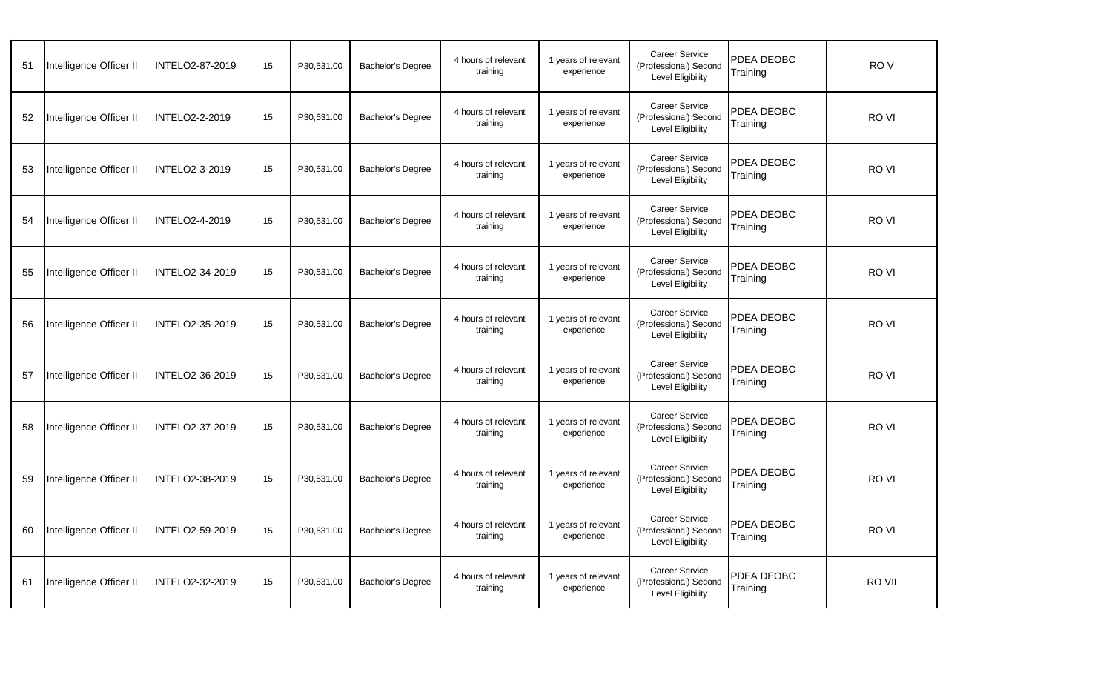| 51 | Intelligence Officer II | INTELO2-87-2019        | 15 | P30,531.00 | <b>Bachelor's Degree</b> | 4 hours of relevant<br>training | 1 years of relevant<br>experience | <b>Career Service</b><br>(Professional) Second<br>Level Eligibility | PDEA DEOBC<br>Training | RO <sub>V</sub> |  |
|----|-------------------------|------------------------|----|------------|--------------------------|---------------------------------|-----------------------------------|---------------------------------------------------------------------|------------------------|-----------------|--|
| 52 | Intelligence Officer II | <b>INTELO2-2-2019</b>  | 15 | P30,531.00 | Bachelor's Degree        | 4 hours of relevant<br>training | 1 years of relevant<br>experience | <b>Career Service</b><br>(Professional) Second<br>Level Eligibility | PDEA DEOBC<br>Training | RO VI           |  |
| 53 | Intelligence Officer II | <b>INTELO2-3-2019</b>  | 15 | P30,531.00 | <b>Bachelor's Degree</b> | 4 hours of relevant<br>training | 1 years of relevant<br>experience | <b>Career Service</b><br>(Professional) Second<br>Level Eligibility | PDEA DEOBC<br>Training | RO VI           |  |
| 54 | Intelligence Officer II | <b>INTELO2-4-2019</b>  | 15 | P30,531.00 | <b>Bachelor's Degree</b> | 4 hours of relevant<br>training | 1 years of relevant<br>experience | <b>Career Service</b><br>(Professional) Second<br>Level Eligibility | PDEA DEOBC<br>Training | RO VI           |  |
| 55 | Intelligence Officer II | INTELO2-34-2019        | 15 | P30,531.00 | Bachelor's Degree        | 4 hours of relevant<br>training | 1 years of relevant<br>experience | <b>Career Service</b><br>(Professional) Second<br>Level Eligibility | PDEA DEOBC<br>Training | RO VI           |  |
| 56 | Intelligence Officer II | INTELO2-35-2019        | 15 | P30,531.00 | <b>Bachelor's Degree</b> | 4 hours of relevant<br>training | 1 years of relevant<br>experience | <b>Career Service</b><br>(Professional) Second<br>Level Eligibility | PDEA DEOBC<br>Training | RO VI           |  |
| 57 | Intelligence Officer II | INTELO2-36-2019        | 15 | P30,531.00 | <b>Bachelor's Degree</b> | 4 hours of relevant<br>training | 1 years of relevant<br>experience | <b>Career Service</b><br>(Professional) Second<br>Level Eligibility | PDEA DEOBC<br>Training | RO VI           |  |
| 58 | Intelligence Officer II | <b>INTELO2-37-2019</b> | 15 | P30,531.00 | <b>Bachelor's Degree</b> | 4 hours of relevant<br>training | 1 years of relevant<br>experience | <b>Career Service</b><br>(Professional) Second<br>Level Eligibility | PDEA DEOBC<br>Training | RO VI           |  |
| 59 | Intelligence Officer II | INTELO2-38-2019        | 15 | P30,531.00 | Bachelor's Degree        | 4 hours of relevant<br>training | 1 years of relevant<br>experience | <b>Career Service</b><br>(Professional) Second<br>Level Eligibility | PDEA DEOBC<br>Training | RO VI           |  |
| 60 | Intelligence Officer II | INTELO2-59-2019        | 15 | P30,531.00 | Bachelor's Degree        | 4 hours of relevant<br>training | 1 years of relevant<br>experience | <b>Career Service</b><br>(Professional) Second<br>Level Eligibility | PDEA DEOBC<br>Training | RO VI           |  |
| 61 | Intelligence Officer II | INTELO2-32-2019        | 15 | P30,531.00 | Bachelor's Degree        | 4 hours of relevant<br>training | 1 years of relevant<br>experience | Career Service<br>(Professional) Second<br>Level Eligibility        | PDEA DEOBC<br>Training | RO VII          |  |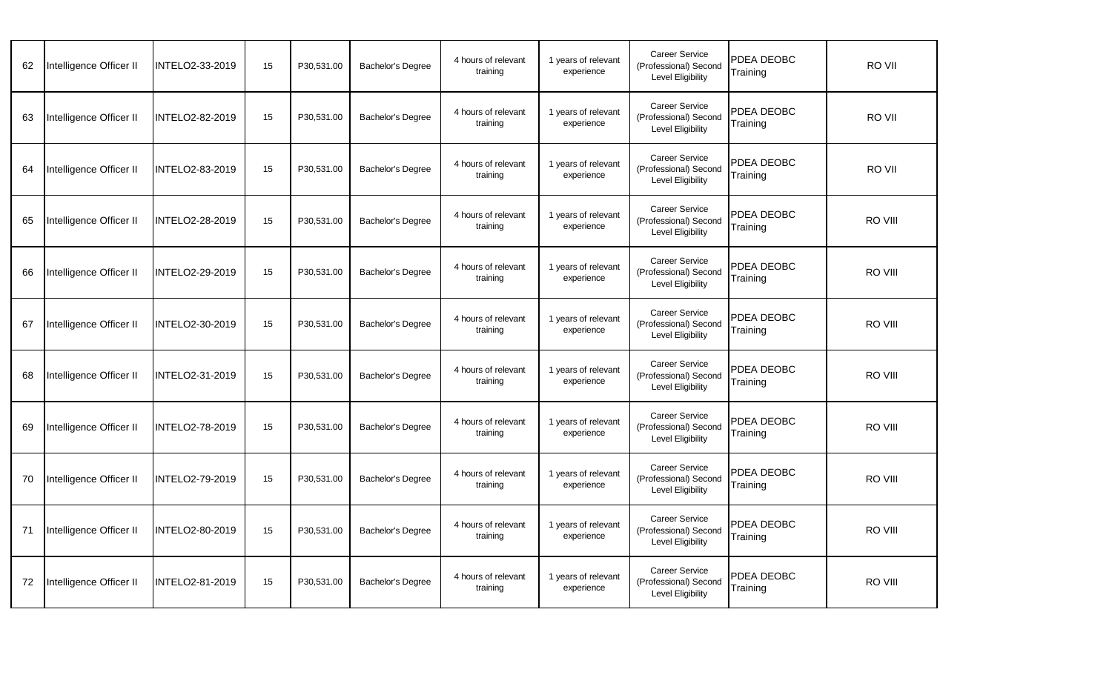| 62 | Intelligence Officer II | INTELO2-33-2019        | 15 | P30,531.00 | <b>Bachelor's Degree</b> | 4 hours of relevant<br>training | 1 years of relevant<br>experience | <b>Career Service</b><br>(Professional) Second<br>Level Eligibility        | PDEA DEOBC<br>Training | RO VII  |  |
|----|-------------------------|------------------------|----|------------|--------------------------|---------------------------------|-----------------------------------|----------------------------------------------------------------------------|------------------------|---------|--|
| 63 | Intelligence Officer II | INTELO2-82-2019        | 15 | P30,531.00 | Bachelor's Degree        | 4 hours of relevant<br>training | 1 years of relevant<br>experience | <b>Career Service</b><br>(Professional) Second<br>Level Eligibility        | PDEA DEOBC<br>Training | RO VII  |  |
| 64 | Intelligence Officer II | INTELO2-83-2019        | 15 | P30,531.00 | <b>Bachelor's Degree</b> | 4 hours of relevant<br>training | 1 years of relevant<br>experience | <b>Career Service</b><br>(Professional) Second<br>Level Eligibility        | PDEA DEOBC<br>Training | RO VII  |  |
| 65 | Intelligence Officer II | INTELO2-28-2019        | 15 | P30,531.00 | <b>Bachelor's Degree</b> | 4 hours of relevant<br>training | 1 years of relevant<br>experience | <b>Career Service</b><br>(Professional) Second<br>Level Eligibility        | PDEA DEOBC<br>Training | RO VIII |  |
| 66 | Intelligence Officer II | INTELO2-29-2019        | 15 | P30,531.00 | Bachelor's Degree        | 4 hours of relevant<br>training | 1 years of relevant<br>experience | <b>Career Service</b><br>(Professional) Second<br>Level Eligibility        | PDEA DEOBC<br>Training | RO VIII |  |
| 67 | Intelligence Officer II | <b>INTELO2-30-2019</b> | 15 | P30,531.00 | <b>Bachelor's Degree</b> | 4 hours of relevant<br>training | 1 years of relevant<br>experience | <b>Career Service</b><br>(Professional) Second<br>Level Eligibility        | PDEA DEOBC<br>Training | RO VIII |  |
| 68 | Intelligence Officer II | INTELO2-31-2019        | 15 | P30,531.00 | <b>Bachelor's Degree</b> | 4 hours of relevant<br>training | 1 years of relevant<br>experience | <b>Career Service</b><br>(Professional) Second<br>Level Eligibility        | PDEA DEOBC<br>Training | RO VIII |  |
| 69 | Intelligence Officer II | <b>INTELO2-78-2019</b> | 15 | P30,531.00 | <b>Bachelor's Degree</b> | 4 hours of relevant<br>training | 1 years of relevant<br>experience | <b>Career Service</b><br>(Professional) Second<br>Level Eligibility        | PDEA DEOBC<br>Training | RO VIII |  |
| 70 | Intelligence Officer II | INTELO2-79-2019        | 15 | P30,531.00 | Bachelor's Degree        | 4 hours of relevant<br>training | 1 years of relevant<br>experience | <b>Career Service</b><br>(Professional) Second<br><b>Level Eligibility</b> | PDEA DEOBC<br>Training | RO VIII |  |
| 71 | Intelligence Officer II | INTELO2-80-2019        | 15 | P30,531.00 | Bachelor's Degree        | 4 hours of relevant<br>training | 1 years of relevant<br>experience | <b>Career Service</b><br>(Professional) Second<br>Level Eligibility        | PDEA DEOBC<br>Training | RO VIII |  |
| 72 | Intelligence Officer II | INTELO2-81-2019        | 15 | P30,531.00 | Bachelor's Degree        | 4 hours of relevant<br>training | 1 years of relevant<br>experience | Career Service<br>(Professional) Second<br>Level Eligibility               | PDEA DEOBC<br>Training | RO VIII |  |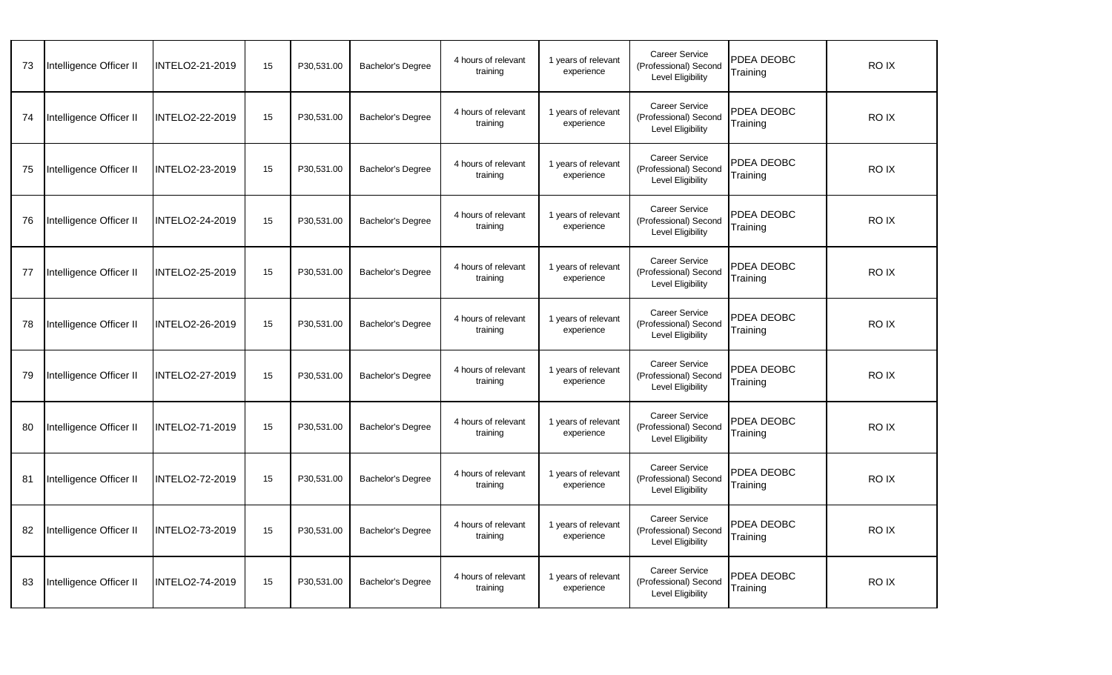| 73 | Intelligence Officer II | INTELO2-21-2019        | 15 | P30,531.00 | Bachelor's Degree        | 4 hours of relevant<br>training | 1 years of relevant<br>experience | <b>Career Service</b><br>(Professional) Second<br>Level Eligibility | PDEA DEOBC<br>Training | RO IX       |
|----|-------------------------|------------------------|----|------------|--------------------------|---------------------------------|-----------------------------------|---------------------------------------------------------------------|------------------------|-------------|
| 74 | Intelligence Officer II | INTELO2-22-2019        | 15 | P30,531.00 | <b>Bachelor's Degree</b> | 4 hours of relevant<br>training | 1 years of relevant<br>experience | <b>Career Service</b><br>(Professional) Second<br>Level Eligibility | PDEA DEOBC<br>Training | RO IX       |
| 75 | Intelligence Officer II | INTELO2-23-2019        | 15 | P30,531.00 | Bachelor's Degree        | 4 hours of relevant<br>training | 1 years of relevant<br>experience | <b>Career Service</b><br>(Professional) Second<br>Level Eligibility | PDEA DEOBC<br>Training | RO IX       |
| 76 | Intelligence Officer II | <b>INTELO2-24-2019</b> | 15 | P30,531.00 | Bachelor's Degree        | 4 hours of relevant<br>training | 1 years of relevant<br>experience | <b>Career Service</b><br>(Professional) Second<br>Level Eligibility | PDEA DEOBC<br>Training | RO IX       |
| 77 | Intelligence Officer II | INTELO2-25-2019        | 15 | P30,531.00 | Bachelor's Degree        | 4 hours of relevant<br>training | 1 years of relevant<br>experience | <b>Career Service</b><br>(Professional) Second<br>Level Eligibility | PDEA DEOBC<br>Training | RO IX       |
| 78 | Intelligence Officer II | INTELO2-26-2019        | 15 | P30,531.00 | Bachelor's Degree        | 4 hours of relevant<br>training | 1 years of relevant<br>experience | <b>Career Service</b><br>(Professional) Second<br>Level Eligibility | PDEA DEOBC<br>Training | RO IX       |
| 79 | Intelligence Officer II | INTELO2-27-2019        | 15 | P30,531.00 | <b>Bachelor's Degree</b> | 4 hours of relevant<br>training | 1 years of relevant<br>experience | <b>Career Service</b><br>(Professional) Second<br>Level Eligibility | PDEA DEOBC<br>Training | RO IX       |
| 80 | Intelligence Officer II | INTELO2-71-2019        | 15 | P30,531.00 | Bachelor's Degree        | 4 hours of relevant<br>training | 1 years of relevant<br>experience | <b>Career Service</b><br>(Professional) Second<br>Level Eligibility | PDEA DEOBC<br>Fraining | RO IX       |
| 81 | Intelligence Officer II | INTELO2-72-2019        | 15 | P30,531.00 | <b>Bachelor's Degree</b> | 4 hours of relevant<br>training | 1 years of relevant<br>experience | <b>Career Service</b><br>(Professional) Second<br>Level Eligibility | PDEA DEOBC<br>Training | <b>ROIX</b> |
| 82 | Intelligence Officer II | INTELO2-73-2019        | 15 | P30,531.00 | Bachelor's Degree        | 4 hours of relevant<br>training | 1 years of relevant<br>experience | Career Service<br>(Professional) Second<br>Level Eligibility        | PDEA DEOBC<br>Training | RO IX       |
| 83 | Intelligence Officer II | INTELO2-74-2019        | 15 | P30,531.00 | Bachelor's Degree        | 4 hours of relevant<br>training | 1 years of relevant<br>experience | <b>Career Service</b><br>(Professional) Second<br>Level Eligibility | PDEA DEOBC<br>Training | RO IX       |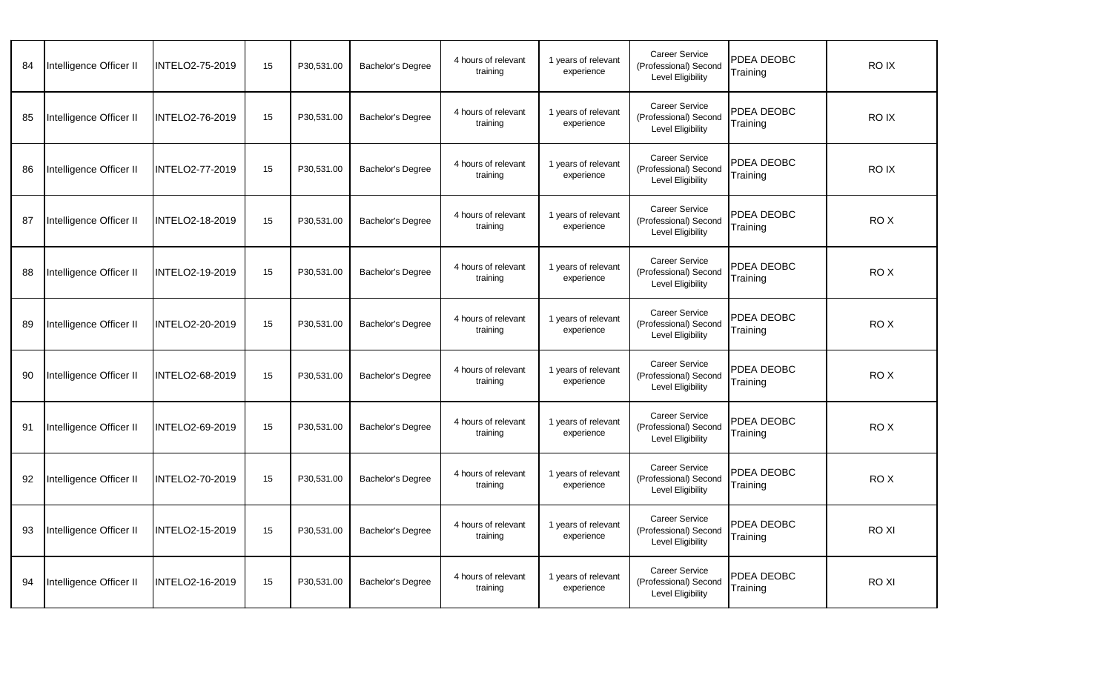| 84 | Intelligence Officer II | INTELO2-75-2019        | 15 | P30,531.00 | <b>Bachelor's Degree</b> | 4 hours of relevant<br>training | 1 years of relevant<br>experience | <b>Career Service</b><br>(Professional) Second<br>Level Eligibility | PDEA DEOBC<br>Training | RO IX           |  |
|----|-------------------------|------------------------|----|------------|--------------------------|---------------------------------|-----------------------------------|---------------------------------------------------------------------|------------------------|-----------------|--|
| 85 | Intelligence Officer II | INTELO2-76-2019        | 15 | P30,531.00 | Bachelor's Degree        | 4 hours of relevant<br>training | 1 years of relevant<br>experience | <b>Career Service</b><br>(Professional) Second<br>Level Eligibility | PDEA DEOBC<br>Training | RO IX           |  |
| 86 | Intelligence Officer II | INTELO2-77-2019        | 15 | P30,531.00 | <b>Bachelor's Degree</b> | 4 hours of relevant<br>training | 1 years of relevant<br>experience | <b>Career Service</b><br>(Professional) Second<br>Level Eligibility | PDEA DEOBC<br>Training | RO IX           |  |
| 87 | Intelligence Officer II | INTELO2-18-2019        | 15 | P30,531.00 | <b>Bachelor's Degree</b> | 4 hours of relevant<br>training | 1 years of relevant<br>experience | <b>Career Service</b><br>(Professional) Second<br>Level Eligibility | PDEA DEOBC<br>Training | RO X            |  |
| 88 | Intelligence Officer II | INTELO2-19-2019        | 15 | P30,531.00 | Bachelor's Degree        | 4 hours of relevant<br>training | 1 years of relevant<br>experience | <b>Career Service</b><br>(Professional) Second<br>Level Eligibility | PDEA DEOBC<br>Training | RO X            |  |
| 89 | Intelligence Officer II | INTELO2-20-2019        | 15 | P30,531.00 | <b>Bachelor's Degree</b> | 4 hours of relevant<br>training | 1 years of relevant<br>experience | <b>Career Service</b><br>(Professional) Second<br>Level Eligibility | PDEA DEOBC<br>Training | RO X            |  |
| 90 | Intelligence Officer II | INTELO2-68-2019        | 15 | P30,531.00 | <b>Bachelor's Degree</b> | 4 hours of relevant<br>training | 1 years of relevant<br>experience | <b>Career Service</b><br>(Professional) Second<br>Level Eligibility | PDEA DEOBC<br>Training | RO <sub>X</sub> |  |
| 91 | Intelligence Officer II | <b>INTELO2-69-2019</b> | 15 | P30,531.00 | <b>Bachelor's Degree</b> | 4 hours of relevant<br>training | 1 years of relevant<br>experience | <b>Career Service</b><br>(Professional) Second<br>Level Eligibility | PDEA DEOBC<br>Training | RO X            |  |
| 92 | Intelligence Officer II | INTELO2-70-2019        | 15 | P30,531.00 | Bachelor's Degree        | 4 hours of relevant<br>training | 1 years of relevant<br>experience | <b>Career Service</b><br>(Professional) Second<br>Level Eligibility | PDEA DEOBC<br>Training | RO X            |  |
| 93 | Intelligence Officer II | INTELO2-15-2019        | 15 | P30,531.00 | Bachelor's Degree        | 4 hours of relevant<br>training | 1 years of relevant<br>experience | <b>Career Service</b><br>(Professional) Second<br>Level Eligibility | PDEA DEOBC<br>Training | <b>ROXI</b>     |  |
| 94 | Intelligence Officer II | INTELO2-16-2019        | 15 | P30,531.00 | Bachelor's Degree        | 4 hours of relevant<br>training | 1 years of relevant<br>experience | <b>Career Service</b><br>(Professional) Second<br>Level Eligibility | PDEA DEOBC<br>Training | RO XI           |  |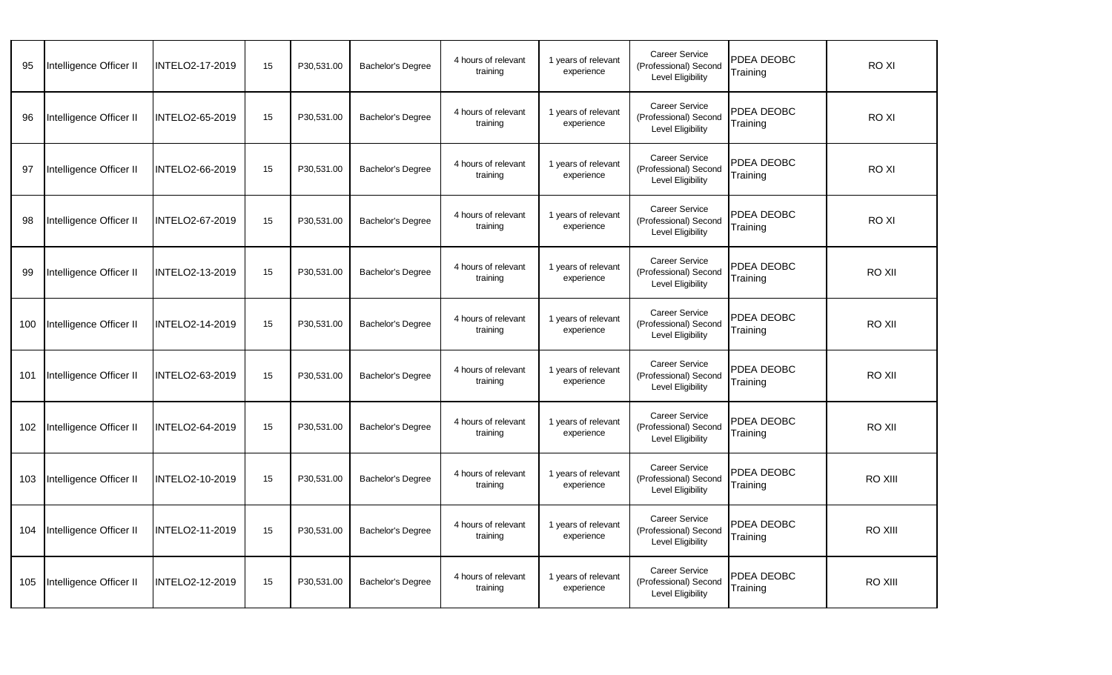| 95  | Intelligence Officer II | INTELO2-17-2019        | 15 | P30,531.00 | <b>Bachelor's Degree</b> | 4 hours of relevant<br>training | 1 years of relevant<br>experience | <b>Career Service</b><br>(Professional) Second<br>Level Eligibility | PDEA DEOBC<br>Training | RO XI         |  |
|-----|-------------------------|------------------------|----|------------|--------------------------|---------------------------------|-----------------------------------|---------------------------------------------------------------------|------------------------|---------------|--|
| 96  | Intelligence Officer II | INTELO2-65-2019        | 15 | P30,531.00 | Bachelor's Degree        | 4 hours of relevant<br>training | 1 years of relevant<br>experience | <b>Career Service</b><br>(Professional) Second<br>Level Eligibility | PDEA DEOBC<br>Training | <b>ROXI</b>   |  |
| 97  | Intelligence Officer II | INTELO2-66-2019        | 15 | P30,531.00 | <b>Bachelor's Degree</b> | 4 hours of relevant<br>training | 1 years of relevant<br>experience | <b>Career Service</b><br>(Professional) Second<br>Level Eligibility | PDEA DEOBC<br>Training | <b>ROXI</b>   |  |
| 98  | Intelligence Officer II | <b>INTELO2-67-2019</b> | 15 | P30,531.00 | <b>Bachelor's Degree</b> | 4 hours of relevant<br>training | 1 years of relevant<br>experience | <b>Career Service</b><br>(Professional) Second<br>Level Eligibility | PDEA DEOBC<br>Training | <b>ROXI</b>   |  |
| 99  | Intelligence Officer II | INTELO2-13-2019        | 15 | P30,531.00 | Bachelor's Degree        | 4 hours of relevant<br>training | 1 years of relevant<br>experience | <b>Career Service</b><br>(Professional) Second<br>Level Eligibility | PDEA DEOBC<br>Training | <b>RO XII</b> |  |
| 100 | Intelligence Officer II | <b>INTELO2-14-2019</b> | 15 | P30,531.00 | <b>Bachelor's Degree</b> | 4 hours of relevant<br>training | 1 years of relevant<br>experience | <b>Career Service</b><br>(Professional) Second<br>Level Eligibility | PDEA DEOBC<br>Training | <b>RO XII</b> |  |
| 101 | Intelligence Officer II | INTELO2-63-2019        | 15 | P30,531.00 | <b>Bachelor's Degree</b> | 4 hours of relevant<br>training | 1 years of relevant<br>experience | <b>Career Service</b><br>(Professional) Second<br>Level Eligibility | PDEA DEOBC<br>Training | <b>RO XII</b> |  |
| 102 | Intelligence Officer II | <b>INTELO2-64-2019</b> | 15 | P30,531.00 | <b>Bachelor's Degree</b> | 4 hours of relevant<br>training | 1 years of relevant<br>experience | <b>Career Service</b><br>(Professional) Second<br>Level Eligibility | PDEA DEOBC<br>Training | <b>RO XII</b> |  |
| 103 | Intelligence Officer II | INTELO2-10-2019        | 15 | P30,531.00 | Bachelor's Degree        | 4 hours of relevant<br>training | 1 years of relevant<br>experience | <b>Career Service</b><br>(Professional) Second<br>Level Eligibility | PDEA DEOBC<br>Training | RO XIII       |  |
| 104 | Intelligence Officer II | INTELO2-11-2019        | 15 | P30,531.00 | Bachelor's Degree        | 4 hours of relevant<br>training | 1 years of relevant<br>experience | <b>Career Service</b><br>(Professional) Second<br>Level Eligibility | PDEA DEOBC<br>Training | RO XIII       |  |
| 105 | Intelligence Officer II | INTELO2-12-2019        | 15 | P30,531.00 | Bachelor's Degree        | 4 hours of relevant<br>training | 1 years of relevant<br>experience | <b>Career Service</b><br>(Professional) Second<br>Level Eligibility | PDEA DEOBC<br>Training | RO XIII       |  |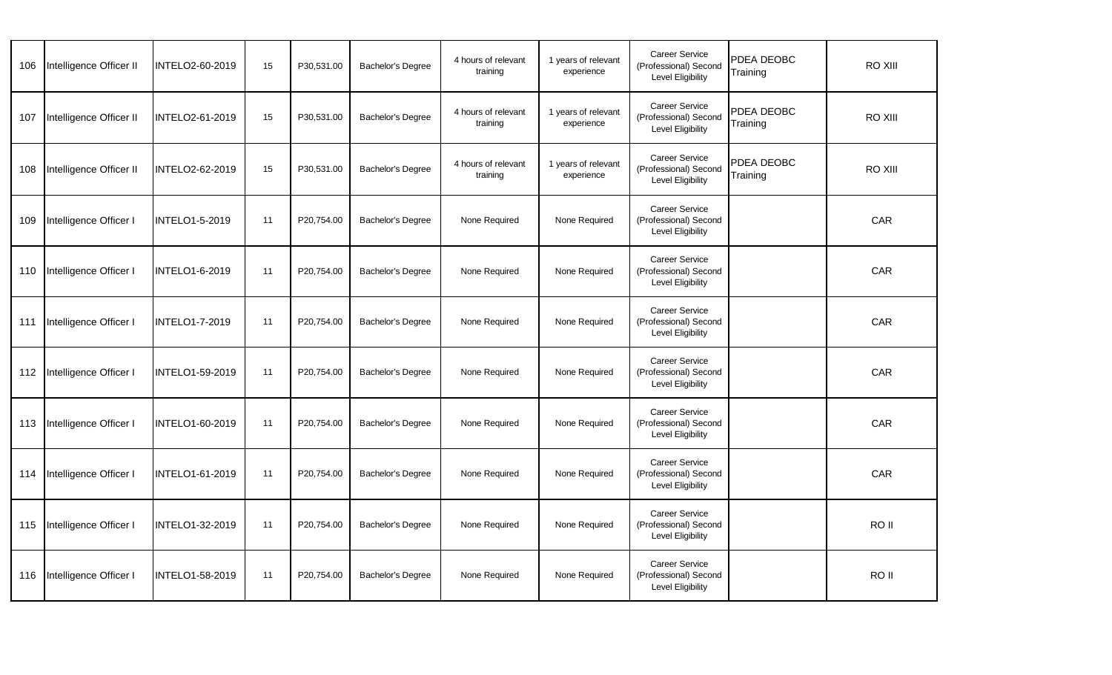| 106 | Intelligence Officer II | INTELO2-60-2019        | 15 | P30,531.00 | Bachelor's Degree        | 4 hours of relevant<br>training | 1 years of relevant<br>experience | <b>Career Service</b><br>(Professional) Second<br>Level Eligibility        | PDEA DEOBC<br>Training | <b>RO XIII</b> |  |
|-----|-------------------------|------------------------|----|------------|--------------------------|---------------------------------|-----------------------------------|----------------------------------------------------------------------------|------------------------|----------------|--|
| 107 | Intelligence Officer II | INTELO2-61-2019        | 15 | P30,531.00 | Bachelor's Degree        | 4 hours of relevant<br>training | 1 years of relevant<br>experience | <b>Career Service</b><br>(Professional) Second<br>Level Eligibility        | PDEA DEOBC<br>Training | <b>RO XIII</b> |  |
| 108 | Intelligence Officer II | INTELO2-62-2019        | 15 | P30,531.00 | <b>Bachelor's Degree</b> | 4 hours of relevant<br>training | 1 years of relevant<br>experience | Career Service<br>(Professional) Second<br><b>Level Eligibility</b>        | PDEA DEOBC<br>Training | <b>RO XIII</b> |  |
| 109 | Intelligence Officer I  | <b>INTELO1-5-2019</b>  | 11 | P20,754.00 | Bachelor's Degree        | None Required                   | None Required                     | Career Service<br>(Professional) Second<br><b>Level Eligibility</b>        |                        | CAR            |  |
| 110 | Intelligence Officer I  | <b>INTELO1-6-2019</b>  | 11 | P20,754.00 | Bachelor's Degree        | None Required                   | None Required                     | <b>Career Service</b><br>(Professional) Second<br><b>Level Eligibility</b> |                        | CAR            |  |
| 111 | Intelligence Officer I  | <b>INTELO1-7-2019</b>  | 11 | P20,754.00 | <b>Bachelor's Degree</b> | None Required                   | None Required                     | Career Service<br>(Professional) Second<br>Level Eligibility               |                        | <b>CAR</b>     |  |
| 112 | Intelligence Officer I  | INTELO1-59-2019        | 11 | P20,754.00 | Bachelor's Degree        | None Required                   | None Required                     | Career Service<br>(Professional) Second<br><b>Level Eligibility</b>        |                        | <b>CAR</b>     |  |
| 113 | Intelligence Officer I  | INTELO1-60-2019        | 11 | P20,754.00 | Bachelor's Degree        | None Required                   | None Required                     | <b>Career Service</b><br>(Professional) Second<br>Level Eligibility        |                        | CAR            |  |
| 114 | Intelligence Officer I  | INTELO1-61-2019        | 11 | P20,754.00 | Bachelor's Degree        | None Required                   | None Required                     | Career Service<br>(Professional) Second<br>Level Eligibility               |                        | CAR            |  |
| 115 | Intelligence Officer I  | INTELO1-32-2019        | 11 | P20,754.00 | Bachelor's Degree        | None Required                   | None Required                     | <b>Career Service</b><br>(Professional) Second<br><b>Level Eligibility</b> |                        | RO II          |  |
| 116 | Intelligence Officer I  | <b>INTELO1-58-2019</b> | 11 | P20,754.00 | Bachelor's Degree        | None Required                   | None Required                     | Career Service<br>(Professional) Second<br>Level Eligibility               |                        | RO II          |  |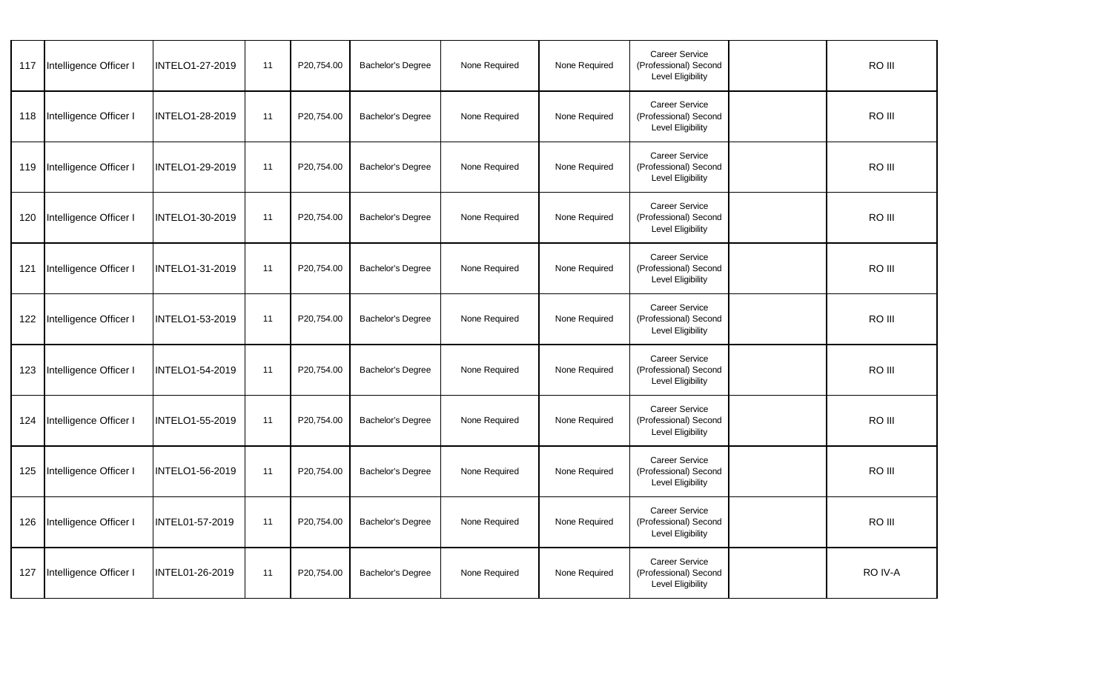| 117 | Intelligence Officer I | <b>INTELO1-27-2019</b> | 11 | P20,754.00 | Bachelor's Degree        | None Required | None Required | Career Service<br>(Professional) Second<br><b>Level Eligibility</b> | RO III  |  |
|-----|------------------------|------------------------|----|------------|--------------------------|---------------|---------------|---------------------------------------------------------------------|---------|--|
| 118 | Intelligence Officer I | <b>INTELO1-28-2019</b> | 11 | P20,754.00 | <b>Bachelor's Degree</b> | None Required | None Required | <b>Career Service</b><br>(Professional) Second<br>Level Eligibility | RO III  |  |
| 119 | Intelligence Officer I | INTELO1-29-2019        | 11 | P20,754.00 | Bachelor's Degree        | None Required | None Required | Career Service<br>(Professional) Second<br>Level Eligibility        | RO III  |  |
| 120 | Intelligence Officer I | INTELO1-30-2019        | 11 | P20,754.00 | <b>Bachelor's Degree</b> | None Required | None Required | Career Service<br>(Professional) Second<br><b>Level Eligibility</b> | RO III  |  |
| 121 | Intelligence Officer I | <b>INTELO1-31-2019</b> | 11 | P20,754.00 | Bachelor's Degree        | None Required | None Required | Career Service<br>(Professional) Second<br><b>Level Eligibility</b> | RO III  |  |
| 122 | Intelligence Officer I | INTELO1-53-2019        | 11 | P20,754.00 | <b>Bachelor's Degree</b> | None Required | None Required | Career Service<br>(Professional) Second<br>Level Eligibility        | RO III  |  |
| 123 | Intelligence Officer I | INTELO1-54-2019        | 11 | P20,754.00 | Bachelor's Degree        | None Required | None Required | Career Service<br>(Professional) Second<br>Level Eligibility        | RO III  |  |
| 124 | Intelligence Officer I | INTELO1-55-2019        | 11 | P20,754.00 | Bachelor's Degree        | None Required | None Required | Career Service<br>(Professional) Second<br>Level Eligibility        | RO III  |  |
| 125 | Intelligence Officer I | INTELO1-56-2019        | 11 | P20,754.00 | Bachelor's Degree        | None Required | None Required | Career Service<br>(Professional) Second<br><b>Level Eligibility</b> | RO III  |  |
| 126 | Intelligence Officer I | INTEL01-57-2019        | 11 | P20,754.00 | <b>Bachelor's Degree</b> | None Required | None Required | Career Service<br>(Professional) Second<br>Level Eligibility        | RO III  |  |
| 127 | Intelligence Officer I | INTEL01-26-2019        | 11 | P20,754.00 | <b>Bachelor's Degree</b> | None Required | None Required | Career Service<br>(Professional) Second<br>Level Eligibility        | RO IV-A |  |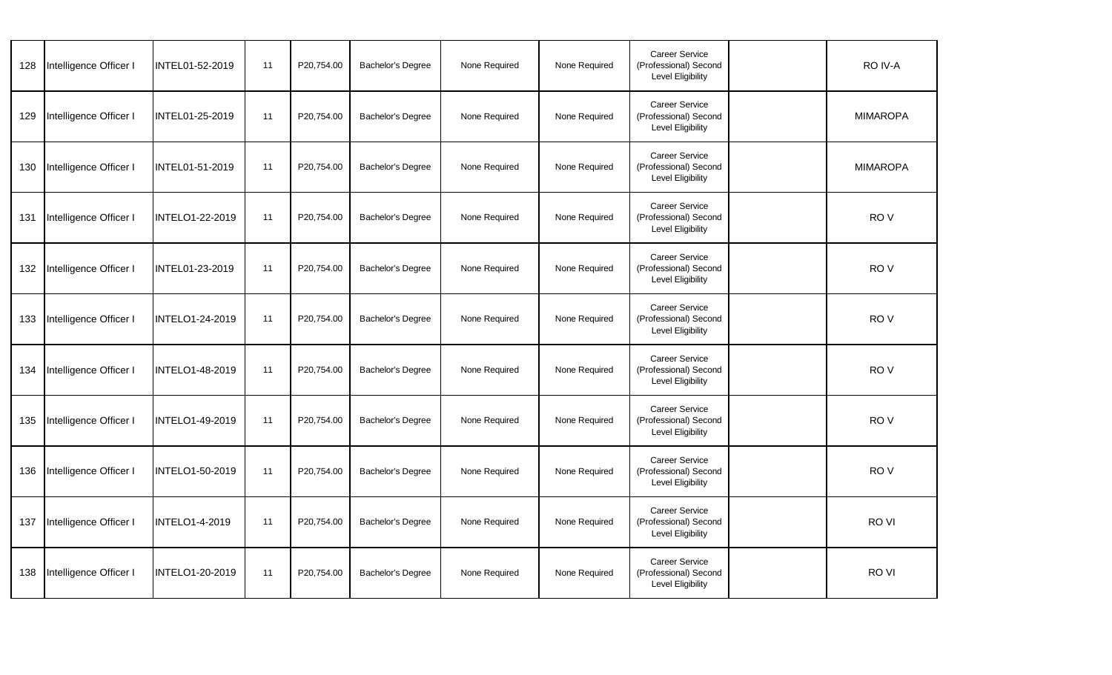| 128 | Intelligence Officer I | INTEL01-52-2019        | 11 | P20,754.00 | <b>Bachelor's Degree</b> | None Required | None Required | <b>Career Service</b><br>(Professional) Second<br>Level Eligibility | RO IV-A         |  |
|-----|------------------------|------------------------|----|------------|--------------------------|---------------|---------------|---------------------------------------------------------------------|-----------------|--|
| 129 | Intelligence Officer I | INTEL01-25-2019        | 11 | P20,754.00 | <b>Bachelor's Degree</b> | None Required | None Required | <b>Career Service</b><br>(Professional) Second<br>Level Eligibility | <b>MIMAROPA</b> |  |
| 130 | Intelligence Officer I | INTEL01-51-2019        | 11 | P20,754.00 | Bachelor's Degree        | None Required | None Required | Career Service<br>(Professional) Second<br><b>Level Eligibility</b> | <b>MIMAROPA</b> |  |
| 131 | Intelligence Officer I | <b>INTELO1-22-2019</b> | 11 | P20,754.00 | <b>Bachelor's Degree</b> | None Required | None Required | <b>Career Service</b><br>(Professional) Second<br>Level Eligibility | RO <sub>V</sub> |  |
| 132 | Intelligence Officer I | INTEL01-23-2019        | 11 | P20,754.00 | <b>Bachelor's Degree</b> | None Required | None Required | Career Service<br>(Professional) Second<br>Level Eligibility        | RO <sub>V</sub> |  |
| 133 | Intelligence Officer I | INTELO1-24-2019        | 11 | P20,754.00 | Bachelor's Degree        | None Required | None Required | <b>Career Service</b><br>(Professional) Second<br>Level Eligibility | RO <sub>V</sub> |  |
| 134 | Intelligence Officer I | INTELO1-48-2019        | 11 | P20,754.00 | <b>Bachelor's Degree</b> | None Required | None Required | Career Service<br>(Professional) Second<br><b>Level Eligibility</b> | RO <sub>V</sub> |  |
| 135 | Intelligence Officer I | INTELO1-49-2019        | 11 | P20,754.00 | Bachelor's Degree        | None Required | None Required | <b>Career Service</b><br>(Professional) Second<br>Level Eligibility | RO <sub>V</sub> |  |
| 136 | Intelligence Officer I | INTELO1-50-2019        | 11 | P20,754.00 | Bachelor's Degree        | None Required | None Required | Career Service<br>(Professional) Second<br><b>Level Eligibility</b> | RO <sub>V</sub> |  |
| 137 | Intelligence Officer I | <b>INTELO1-4-2019</b>  | 11 | P20,754.00 | <b>Bachelor's Degree</b> | None Required | None Required | Career Service<br>(Professional) Second<br><b>Level Eligibility</b> | RO VI           |  |
| 138 | Intelligence Officer I | <b>INTELO1-20-2019</b> | 11 | P20,754.00 | Bachelor's Degree        | None Required | None Required | Career Service<br>(Professional) Second<br><b>Level Eligibility</b> | RO VI           |  |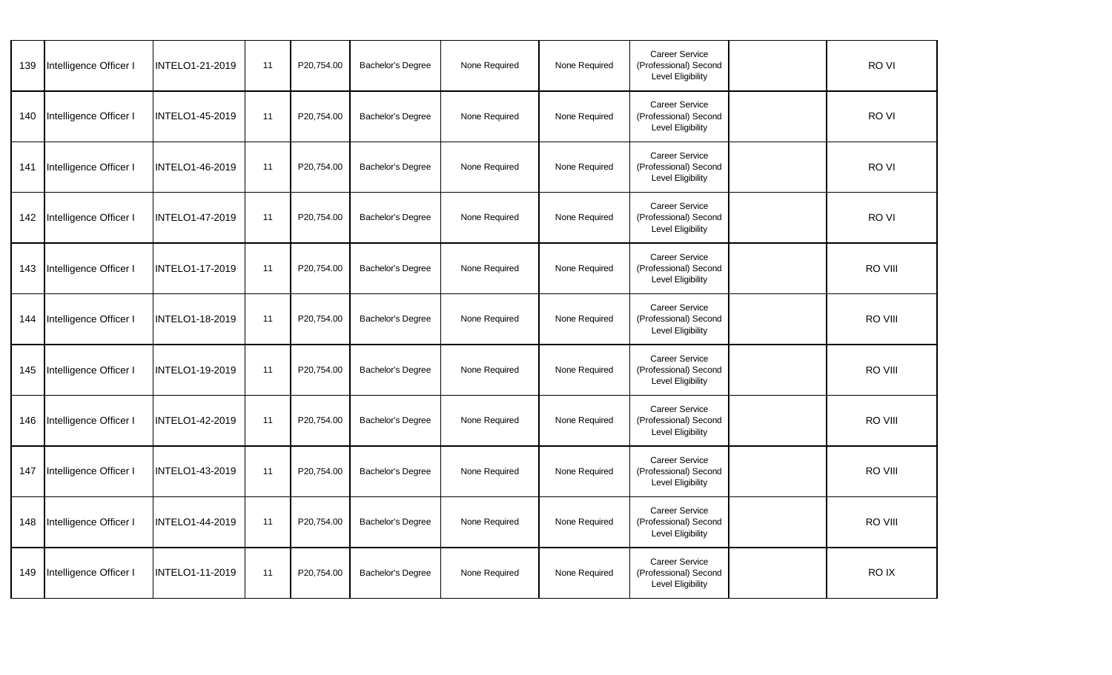| 139 | Intelligence Officer I | <b>INTELO1-21-2019</b> | 11 | P20,754.00 | Bachelor's Degree        | None Required | None Required | Career Service<br>(Professional) Second<br><b>Level Eligibility</b> | RO VI   |  |
|-----|------------------------|------------------------|----|------------|--------------------------|---------------|---------------|---------------------------------------------------------------------|---------|--|
| 140 | Intelligence Officer I | <b>INTELO1-45-2019</b> | 11 | P20,754.00 | <b>Bachelor's Degree</b> | None Required | None Required | <b>Career Service</b><br>(Professional) Second<br>Level Eligibility | RO VI   |  |
| 141 | Intelligence Officer I | INTELO1-46-2019        | 11 | P20,754.00 | Bachelor's Degree        | None Required | None Required | Career Service<br>(Professional) Second<br>Level Eligibility        | RO VI   |  |
| 142 | Intelligence Officer I | INTELO1-47-2019        | 11 | P20,754.00 | <b>Bachelor's Degree</b> | None Required | None Required | Career Service<br>(Professional) Second<br><b>Level Eligibility</b> | RO VI   |  |
| 143 | Intelligence Officer I | <b>INTELO1-17-2019</b> | 11 | P20,754.00 | Bachelor's Degree        | None Required | None Required | Career Service<br>(Professional) Second<br><b>Level Eligibility</b> | RO VIII |  |
| 144 | Intelligence Officer I | INTELO1-18-2019        | 11 | P20,754.00 | <b>Bachelor's Degree</b> | None Required | None Required | Career Service<br>(Professional) Second<br>Level Eligibility        | RO VIII |  |
| 145 | Intelligence Officer I | INTELO1-19-2019        | 11 | P20,754.00 | Bachelor's Degree        | None Required | None Required | Career Service<br>(Professional) Second<br>Level Eligibility        | RO VIII |  |
| 146 | Intelligence Officer I | INTELO1-42-2019        | 11 | P20,754.00 | Bachelor's Degree        | None Required | None Required | Career Service<br>(Professional) Second<br>Level Eligibility        | RO VIII |  |
| 147 | Intelligence Officer I | INTELO1-43-2019        | 11 | P20,754.00 | Bachelor's Degree        | None Required | None Required | Career Service<br>(Professional) Second<br><b>Level Eligibility</b> | RO VIII |  |
| 148 | Intelligence Officer I | INTELO1-44-2019        | 11 | P20,754.00 | <b>Bachelor's Degree</b> | None Required | None Required | Career Service<br>(Professional) Second<br><b>Level Eligibility</b> | RO VIII |  |
| 149 | Intelligence Officer I | INTELO1-11-2019        | 11 | P20,754.00 | <b>Bachelor's Degree</b> | None Required | None Required | Career Service<br>(Professional) Second<br>Level Eligibility        | RO IX   |  |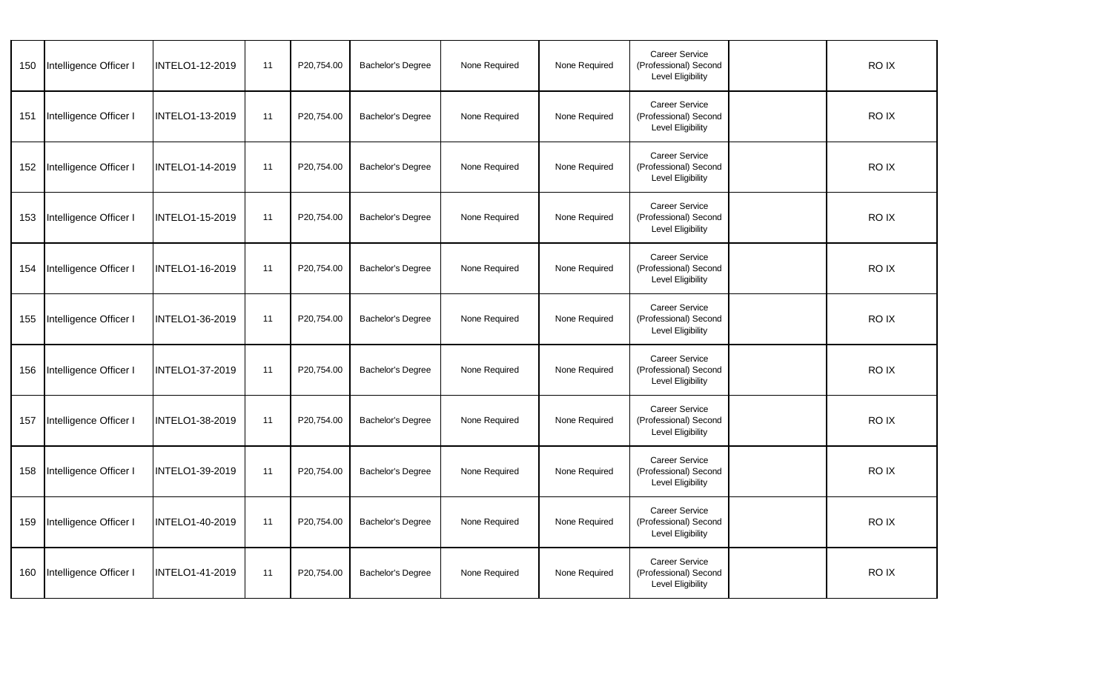| 150 | Intelligence Officer I | <b>INTELO1-12-2019</b> | 11 | P20,754.00 | <b>Bachelor's Degree</b> | None Required | None Required | <b>Career Service</b><br>(Professional) Second<br><b>Level Eligibility</b> | <b>ROIX</b> |  |
|-----|------------------------|------------------------|----|------------|--------------------------|---------------|---------------|----------------------------------------------------------------------------|-------------|--|
| 151 | Intelligence Officer I | <b>INTELO1-13-2019</b> | 11 | P20,754.00 | <b>Bachelor's Degree</b> | None Required | None Required | <b>Career Service</b><br>(Professional) Second<br>Level Eligibility        | RO IX       |  |
| 152 | Intelligence Officer I | INTELO1-14-2019        | 11 | P20,754.00 | Bachelor's Degree        | None Required | None Required | Career Service<br>(Professional) Second<br><b>Level Eligibility</b>        | RO IX       |  |
| 153 | Intelligence Officer I | <b>INTELO1-15-2019</b> | 11 | P20,754.00 | <b>Bachelor's Degree</b> | None Required | None Required | Career Service<br>(Professional) Second<br><b>Level Eligibility</b>        | RO IX       |  |
| 154 | Intelligence Officer I | INTELO1-16-2019        | 11 | P20,754.00 | <b>Bachelor's Degree</b> | None Required | None Required | Career Service<br>(Professional) Second<br><b>Level Eligibility</b>        | RO IX       |  |
| 155 | Intelligence Officer I | INTELO1-36-2019        | 11 | P20,754.00 | Bachelor's Degree        | None Required | None Required | Career Service<br>(Professional) Second<br>Level Eligibility               | RO IX       |  |
| 156 | Intelligence Officer I | INTELO1-37-2019        | 11 | P20,754.00 | <b>Bachelor's Degree</b> | None Required | None Required | Career Service<br>(Professional) Second<br><b>Level Eligibility</b>        | RO IX       |  |
| 157 | Intelligence Officer I | INTELO1-38-2019        | 11 | P20,754.00 | Bachelor's Degree        | None Required | None Required | <b>Career Service</b><br>(Professional) Second<br>Level Eligibility        | RO IX       |  |
| 158 | Intelligence Officer I | INTELO1-39-2019        | 11 | P20,754.00 | Bachelor's Degree        | None Required | None Required | Career Service<br>(Professional) Second<br><b>Level Eligibility</b>        | RO IX       |  |
| 159 | Intelligence Officer I | <b>INTELO1-40-2019</b> | 11 | P20,754.00 | <b>Bachelor's Degree</b> | None Required | None Required | Career Service<br>(Professional) Second<br><b>Level Eligibility</b>        | RO IX       |  |
| 160 | Intelligence Officer I | INTELO1-41-2019        | 11 | P20,754.00 | Bachelor's Degree        | None Required | None Required | Career Service<br>(Professional) Second<br><b>Level Eligibility</b>        | RO IX       |  |